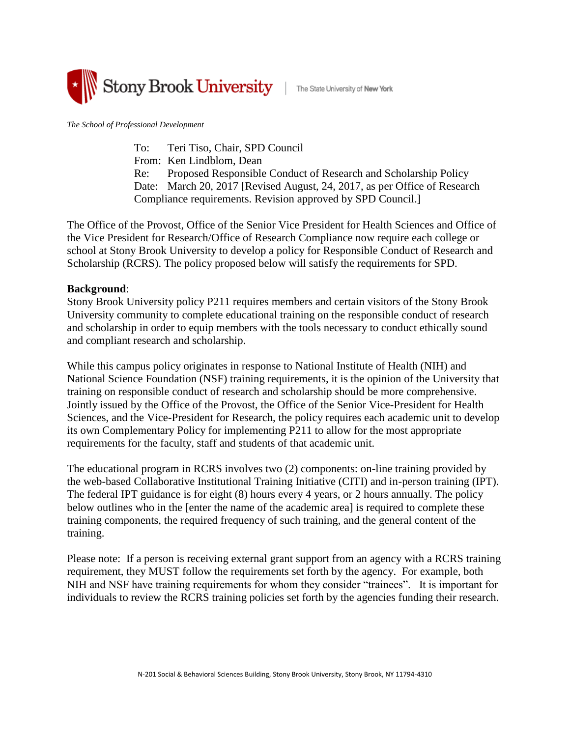

*The School of Professional Development*

To: Teri Tiso, Chair, SPD Council From: Ken Lindblom, Dean Re: Proposed Responsible Conduct of Research and Scholarship Policy Date: March 20, 2017 [Revised August, 24, 2017, as per Office of Research Compliance requirements. Revision approved by SPD Council.]

The Office of the Provost, Office of the Senior Vice President for Health Sciences and Office of the Vice President for Research/Office of Research Compliance now require each college or school at Stony Brook University to develop a policy for Responsible Conduct of Research and Scholarship (RCRS). The policy proposed below will satisfy the requirements for SPD.

#### **Background**:

Stony Brook University policy P211 requires members and certain visitors of the Stony Brook University community to complete educational training on the responsible conduct of research and scholarship in order to equip members with the tools necessary to conduct ethically sound and compliant research and scholarship.

While this campus policy originates in response to National Institute of Health (NIH) and National Science Foundation (NSF) training requirements, it is the opinion of the University that training on responsible conduct of research and scholarship should be more comprehensive. Jointly issued by the Office of the Provost, the Office of the Senior Vice-President for Health Sciences, and the Vice-President for Research, the policy requires each academic unit to develop its own Complementary Policy for implementing P211 to allow for the most appropriate requirements for the faculty, staff and students of that academic unit.

The educational program in RCRS involves two (2) components: on-line training provided by the web-based Collaborative Institutional Training Initiative (CITI) and in-person training (IPT). The federal IPT guidance is for eight (8) hours every 4 years, or 2 hours annually. The policy below outlines who in the [enter the name of the academic area] is required to complete these training components, the required frequency of such training, and the general content of the training.

Please note: If a person is receiving external grant support from an agency with a RCRS training requirement, they MUST follow the requirements set forth by the agency. For example, both NIH and NSF have training requirements for whom they consider "trainees". It is important for individuals to review the RCRS training policies set forth by the agencies funding their research.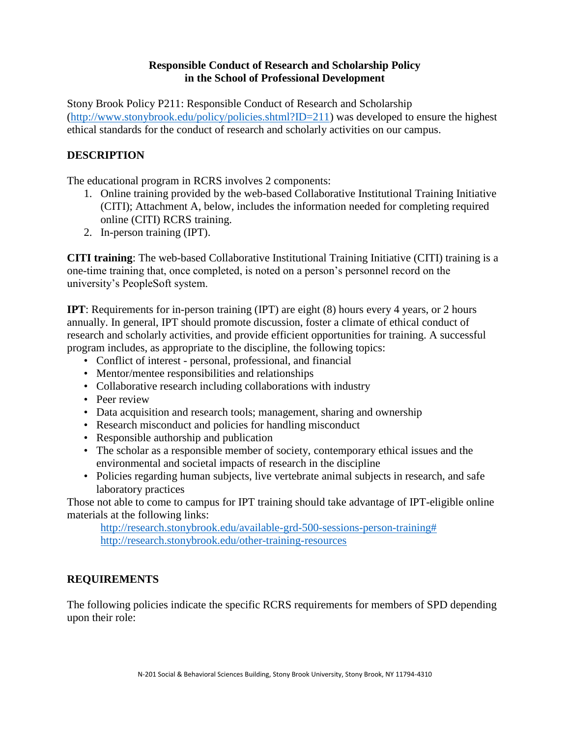### **Responsible Conduct of Research and Scholarship Policy in the School of Professional Development**

Stony Brook Policy P211: Responsible Conduct of Research and Scholarship [\(http://www.stonybrook.edu/policy/policies.shtml?ID=211\)](http://www.stonybrook.edu/policy/policies.shtml?ID=211) was developed to ensure the highest ethical standards for the conduct of research and scholarly activities on our campus.

## **DESCRIPTION**

The educational program in RCRS involves 2 components:

- 1. Online training provided by the web-based Collaborative Institutional Training Initiative (CITI); Attachment A, below, includes the information needed for completing required online (CITI) RCRS training.
- 2. In-person training (IPT).

**CITI training**: The web-based Collaborative Institutional Training Initiative (CITI) training is a one-time training that, once completed, is noted on a person's personnel record on the university's PeopleSoft system.

**IPT**: Requirements for in-person training (IPT) are eight (8) hours every 4 years, or 2 hours annually. In general, IPT should promote discussion, foster a climate of ethical conduct of research and scholarly activities, and provide efficient opportunities for training. A successful program includes, as appropriate to the discipline, the following topics:

- Conflict of interest personal, professional, and financial
- Mentor/mentee responsibilities and relationships
- Collaborative research including collaborations with industry
- Peer review
- Data acquisition and research tools; management, sharing and ownership
- Research misconduct and policies for handling misconduct
- Responsible authorship and publication
- The scholar as a responsible member of society, contemporary ethical issues and the environmental and societal impacts of research in the discipline
- Policies regarding human subjects, live vertebrate animal subjects in research, and safe laboratory practices

Those not able to come to campus for IPT training should take advantage of IPT-eligible online materials at the following links:

[http://research.stonybrook.edu/available-grd-500-sessions-person-training#](http://research.stonybrook.edu/available-grd-500-sessions-person-training) <http://research.stonybrook.edu/other-training-resources>

### **REQUIREMENTS**

The following policies indicate the specific RCRS requirements for members of SPD depending upon their role: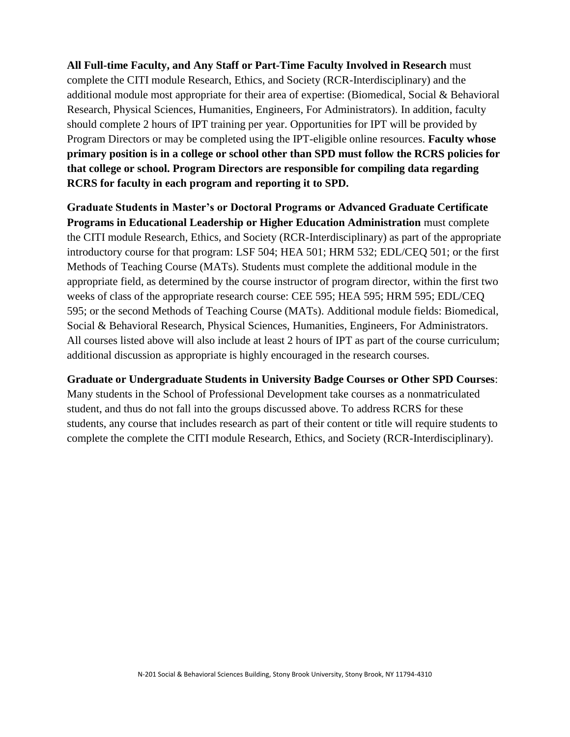**All Full-time Faculty, and Any Staff or Part-Time Faculty Involved in Research** must complete the CITI module Research, Ethics, and Society (RCR-Interdisciplinary) and the additional module most appropriate for their area of expertise: (Biomedical, Social & Behavioral Research, Physical Sciences, Humanities, Engineers, For Administrators). In addition, faculty should complete 2 hours of IPT training per year. Opportunities for IPT will be provided by Program Directors or may be completed using the IPT-eligible online resources. **Faculty whose primary position is in a college or school other than SPD must follow the RCRS policies for that college or school. Program Directors are responsible for compiling data regarding RCRS for faculty in each program and reporting it to SPD.**

**Graduate Students in Master's or Doctoral Programs or Advanced Graduate Certificate Programs in Educational Leadership or Higher Education Administration** must complete the CITI module Research, Ethics, and Society (RCR-Interdisciplinary) as part of the appropriate introductory course for that program: LSF 504; HEA 501; HRM 532; EDL/CEQ 501; or the first Methods of Teaching Course (MATs). Students must complete the additional module in the appropriate field, as determined by the course instructor of program director, within the first two weeks of class of the appropriate research course: CEE 595; HEA 595; HRM 595; EDL/CEQ 595; or the second Methods of Teaching Course (MATs). Additional module fields: Biomedical, Social & Behavioral Research, Physical Sciences, Humanities, Engineers, For Administrators. All courses listed above will also include at least 2 hours of IPT as part of the course curriculum; additional discussion as appropriate is highly encouraged in the research courses.

**Graduate or Undergraduate Students in University Badge Courses or Other SPD Courses**:

Many students in the School of Professional Development take courses as a nonmatriculated student, and thus do not fall into the groups discussed above. To address RCRS for these students, any course that includes research as part of their content or title will require students to complete the complete the CITI module Research, Ethics, and Society (RCR-Interdisciplinary).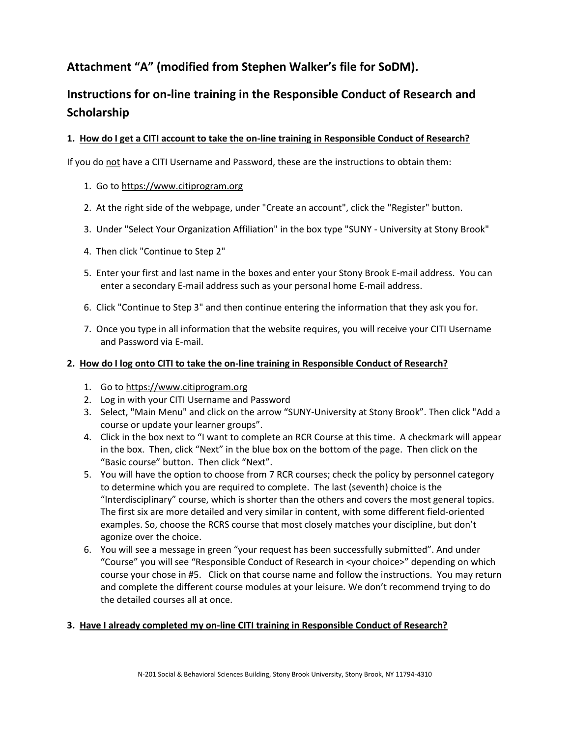## **Attachment "A" (modified from Stephen Walker's file for SoDM).**

# **Instructions for on-line training in the Responsible Conduct of Research and Scholarship**

#### **1. How do I get a CITI account to take the on-line training in Responsible Conduct of Research?**

If you do not have a CITI Username and Password, these are the instructions to obtain them:

#### 1. Go t[o https://www.citiprogram.org](https://www.citiprogram.org/)

- 2. At the right side of the webpage, under "Create an account", click the "Register" button.
- 3. Under "Select Your Organization Affiliation" in the box type "SUNY University at Stony Brook"
- 4. Then click "Continue to Step 2"
- 5. Enter your first and last name in the boxes and enter your Stony Brook E-mail address. You can enter a secondary E-mail address such as your personal home E-mail address.
- 6. Click "Continue to Step 3" and then continue entering the information that they ask you for.
- 7. Once you type in all information that the website requires, you will receive your CITI Username and Password via E-mail.

#### **2. How do I log onto CITI to take the on-line training in Responsible Conduct of Research?**

- 1. Go to [https://www.citiprogram.org](https://www.citiprogram.org/)
- 2. Log in with your CITI Username and Password
- 3. Select, "Main Menu" and click on the arrow "SUNY-University at Stony Brook". Then click "Add a course or update your learner groups".
- 4. Click in the box next to "I want to complete an RCR Course at this time. A checkmark will appear in the box. Then, click "Next" in the blue box on the bottom of the page. Then click on the "Basic course" button. Then click "Next".
- 5. You will have the option to choose from 7 RCR courses; check the policy by personnel category to determine which you are required to complete. The last (seventh) choice is the "Interdisciplinary" course, which is shorter than the others and covers the most general topics. The first six are more detailed and very similar in content, with some different field-oriented examples. So, choose the RCRS course that most closely matches your discipline, but don't agonize over the choice.
- 6. You will see a message in green "your request has been successfully submitted". And under "Course" you will see "Responsible Conduct of Research in <your choice>" depending on which course your chose in #5. Click on that course name and follow the instructions. You may return and complete the different course modules at your leisure. We don't recommend trying to do the detailed courses all at once.

### **3. Have I already completed my on-line CITI training in Responsible Conduct of Research?**